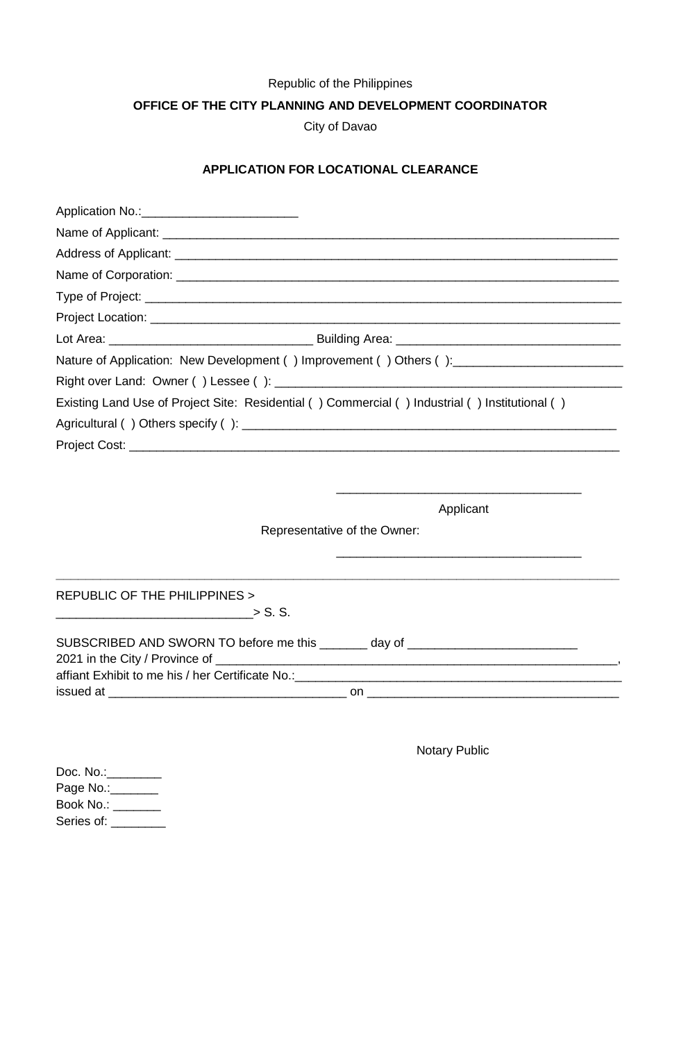## Republic of the Philippines

**OFFICE OF THE CITY PLANNING AND DEVELOPMENT COORDINATOR**

City of Davao

## **APPLICATION FOR LOCATIONAL CLEARANCE**

| Nature of Application: New Development () Improvement () Others (): ________________________________ |  |  |  |  |
|------------------------------------------------------------------------------------------------------|--|--|--|--|
|                                                                                                      |  |  |  |  |
| Existing Land Use of Project Site: Residential () Commercial () Industrial () Institutional ()       |  |  |  |  |
|                                                                                                      |  |  |  |  |
|                                                                                                      |  |  |  |  |
|                                                                                                      |  |  |  |  |

Applicant

\_\_\_\_\_\_\_\_\_\_\_\_\_\_\_\_\_\_\_\_\_\_\_\_\_\_\_\_\_\_\_\_\_\_\_\_

\_\_\_\_\_\_\_\_\_\_\_\_\_\_\_\_\_\_\_\_\_\_\_\_\_\_\_\_\_\_\_\_\_\_\_\_

Representative of the Owner:

**\_\_\_\_\_\_\_\_\_\_\_\_\_\_\_\_\_\_\_\_\_\_\_\_\_\_\_\_\_\_\_\_\_\_\_\_\_\_\_\_\_\_\_\_\_\_\_\_\_\_\_\_\_\_\_\_\_\_\_\_\_\_\_\_\_\_\_\_\_\_\_\_\_\_\_\_**

REPUBLIC OF THE PHILIPPINES >

 $\frac{1}{2}$  S. S.

| SUBSCRIBED AND SWORN TO before me this           | dav of |  |  |  |
|--------------------------------------------------|--------|--|--|--|
| 2021 in the City / Province of                   |        |  |  |  |
| affiant Exhibit to me his / her Certificate No.: |        |  |  |  |
| issued at                                        | on     |  |  |  |

Notary Public

| Doc. $No.$ : |  |
|--------------|--|
| Page No.:    |  |
| Book No.:    |  |
| Series of:   |  |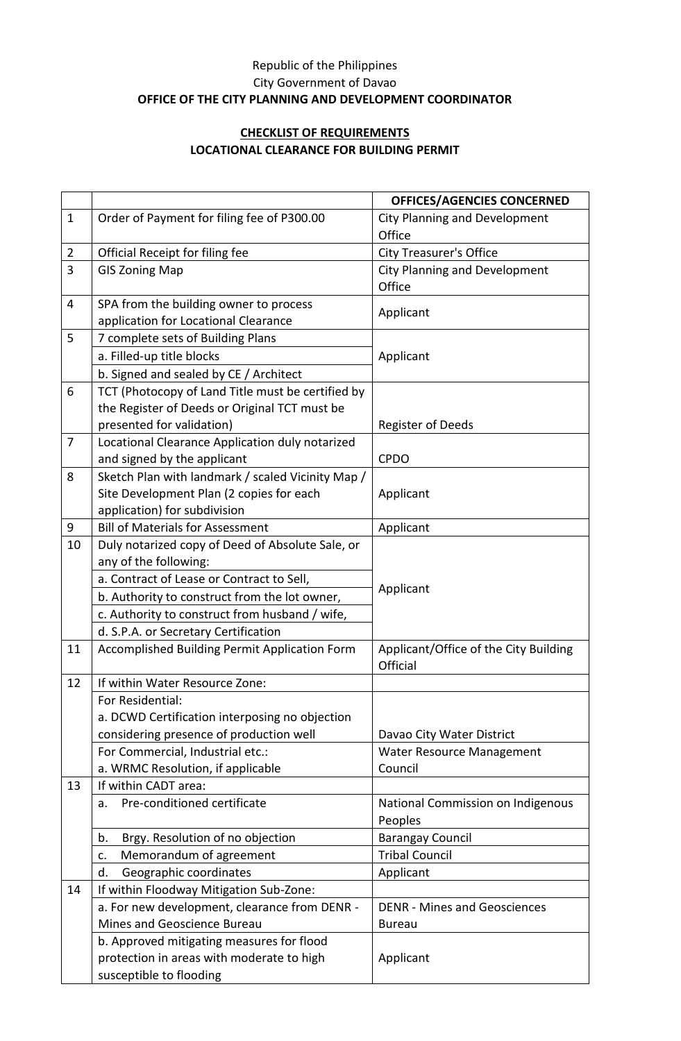## Republic of the Philippines City Government of Davao **OFFICE OF THE CITY PLANNING AND DEVELOPMENT COORDINATOR**

## **CHECKLIST OF REQUIREMENTS LOCATIONAL CLEARANCE FOR BUILDING PERMIT**

|                |                                                   | <b>OFFICES/AGENCIES CONCERNED</b>                 |
|----------------|---------------------------------------------------|---------------------------------------------------|
| $\mathbf 1$    | Order of Payment for filing fee of P300.00        | <b>City Planning and Development</b>              |
|                |                                                   | Office                                            |
| $\overline{2}$ | Official Receipt for filing fee                   | <b>City Treasurer's Office</b>                    |
| 3              | <b>GIS Zoning Map</b>                             | <b>City Planning and Development</b>              |
|                |                                                   | Office                                            |
| $\overline{4}$ | SPA from the building owner to process            | Applicant                                         |
|                | application for Locational Clearance              |                                                   |
| 5              | 7 complete sets of Building Plans                 |                                                   |
|                | a. Filled-up title blocks                         | Applicant                                         |
|                | b. Signed and sealed by CE / Architect            |                                                   |
| 6              | TCT (Photocopy of Land Title must be certified by |                                                   |
|                | the Register of Deeds or Original TCT must be     |                                                   |
|                | presented for validation)                         | Register of Deeds                                 |
| $\overline{7}$ | Locational Clearance Application duly notarized   |                                                   |
|                | and signed by the applicant                       | <b>CPDO</b>                                       |
| 8              | Sketch Plan with landmark / scaled Vicinity Map / |                                                   |
|                | Site Development Plan (2 copies for each          | Applicant                                         |
|                | application) for subdivision                      |                                                   |
| 9              | <b>Bill of Materials for Assessment</b>           | Applicant                                         |
| 10             | Duly notarized copy of Deed of Absolute Sale, or  |                                                   |
|                | any of the following:                             |                                                   |
|                | a. Contract of Lease or Contract to Sell,         | Applicant                                         |
|                | b. Authority to construct from the lot owner,     |                                                   |
|                | c. Authority to construct from husband / wife,    |                                                   |
|                | d. S.P.A. or Secretary Certification              |                                                   |
| 11             | Accomplished Building Permit Application Form     | Applicant/Office of the City Building<br>Official |
| 12             | If within Water Resource Zone:                    |                                                   |
|                | For Residential:                                  |                                                   |
|                | a. DCWD Certification interposing no objection    |                                                   |
|                | considering presence of production well           | Davao City Water District                         |
|                | For Commercial, Industrial etc.:                  | Water Resource Management                         |
|                | a. WRMC Resolution, if applicable                 | Council                                           |
| 13             | If within CADT area:                              |                                                   |
|                | Pre-conditioned certificate<br>a.                 | National Commission on Indigenous                 |
|                |                                                   | Peoples                                           |
|                | Brgy. Resolution of no objection<br>b.            | <b>Barangay Council</b>                           |
|                | Memorandum of agreement<br>c.                     | <b>Tribal Council</b>                             |
|                | Geographic coordinates<br>d.                      | Applicant                                         |
| 14             | If within Floodway Mitigation Sub-Zone:           |                                                   |
|                | a. For new development, clearance from DENR -     | <b>DENR - Mines and Geosciences</b>               |
|                | Mines and Geoscience Bureau                       | <b>Bureau</b>                                     |
|                | b. Approved mitigating measures for flood         |                                                   |
|                | protection in areas with moderate to high         | Applicant                                         |
|                | susceptible to flooding                           |                                                   |